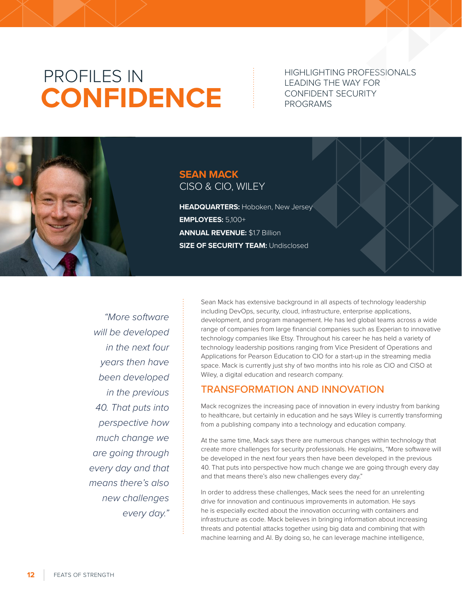# PROFILES IN **CONFIDENCE**

HIGHLIGHTING PROFESSIONALS LEADING THE WAY FOR CONFIDENT SECURITY PROGRAMS

## **SEAN MACK** CISO & CIO, WILEY

**HEADQUARTERS:** Hoboken, New Jersey **EMPLOYEES:** 5,100+ **ANNUAL REVENUE:** \$1.7 Billion **SIZE OF SECURITY TEAM: Undisclosed** 

*"More software will be developed in the next four years then have been developed in the previous 40. That puts into perspective how much change we are going through every day and that means there's also new challenges every day."*

Sean Mack has extensive background in all aspects of technology leadership including DevOps, security, cloud, infrastructure, enterprise applications, development, and program management. He has led global teams across a wide range of companies from large financial companies such as Experian to innovative technology companies like Etsy. Throughout his career he has held a variety of technology leadership positions ranging from Vice President of Operations and Applications for Pearson Education to CIO for a start-up in the streaming media space. Mack is currently just shy of two months into his role as CIO and CISO at Wiley, a digital education and research company.

## TRANSFORMATION AND INNOVATION

Mack recognizes the increasing pace of innovation in every industry from banking to healthcare, but certainly in education and he says Wiley is currently transforming from a publishing company into a technology and education company.

At the same time, Mack says there are numerous changes within technology that create more challenges for security professionals. He explains, "More software will be developed in the next four years then have been developed in the previous 40. That puts into perspective how much change we are going through every day and that means there's also new challenges every day."

In order to address these challenges, Mack sees the need for an unrelenting drive for innovation and continuous improvements in automation. He says he is especially excited about the innovation occurring with containers and infrastructure as code. Mack believes in bringing information about increasing threats and potential attacks together using big data and combining that with machine learning and AI. By doing so, he can leverage machine intelligence,